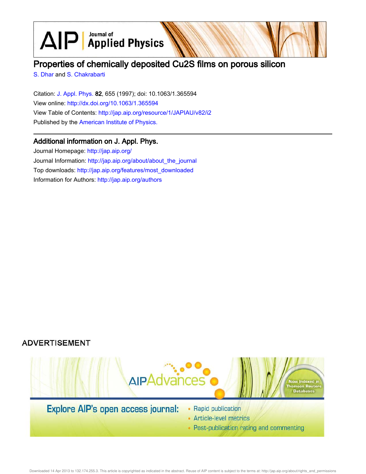$\text{AlP}$  Applied Physics

# Properties of chemically deposited Cu2S films on porous silicon

S. Dhar and S. Chakrabarti

Citation: J. Appl. Phys. 82, 655 (1997); doi: 10.1063/1.365594 View online: http://dx.doi.org/10.1063/1.365594 View Table of Contents: http://jap.aip.org/resource/1/JAPIAU/v82/i2 Published by the American Institute of Physics.

## Additional information on J. Appl. Phys.

Journal Homepage: http://jap.aip.org/ Journal Information: http://jap.aip.org/about/about\_the\_journal Top downloads: http://jap.aip.org/features/most\_downloaded Information for Authors: http://jap.aip.org/authors





- Article-level metrics
- Post-publication rating and commenting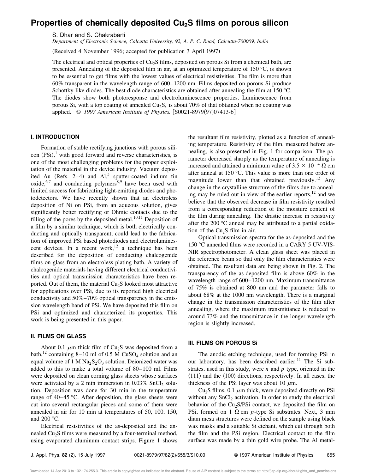# **Properties of chemically deposited Cu2S films on porous silicon**

S. Dhar and S. Chakrabarti

*Department of Electronic Science, Calcutta University, 92, A. P. C. Road, Calcutta-700009, India*

(Received 4 November 1996; accepted for publication 3 April 1997)

The electrical and optical properties of Cu<sub>2</sub>S films, deposited on porous Si from a chemical bath, are presented. Annealing of the deposited film in air, at an optimized temperature of 150 °C, is shown to be essential to get films with the lowest values of electrical resistivities. The film is more than 60% transparent in the wavelength range of 600–1200 nm. Films deposited on porous Si produce Schottky-like diodes. The best diode characteristics are obtained after annealing the film at 150 °C. The diodes show both photoresponse and electroluminescence properties. Luminescence from porous Si, with a top coating of annealed  $Cu<sub>2</sub>$ S, is about 70% of that obtained when no coating was applied. © 1997 American Institute of Physics. [S0021-8979(97)07413-6]

#### **I. INTRODUCTION**

Formation of stable rectifying junctions with porous sili $con (PSi),<sup>1</sup>$  with good forward and reverse characteristics, is one of the most challenging problems for the proper exploitation of the material in the device industry. Vacuum deposited Au (Refs. 2–4) and  $AI<sub>2</sub><sup>5</sup>$  sputter-coated indium tin  $oxide,$ <sup>6,7</sup> and conducting polymers<sup>8,9</sup> have been used with limited success for fabricating light-emitting diodes and photodetectors. We have recently shown that an electroless deposition of Ni on PSi, from an aqueous solution, gives significantly better rectifying or Ohmic contacts due to the filling of the pores by the deposited metal. $10,11$  Deposition of a film by a similar technique, which is both electrically conducting and optically transparent, could lead to the fabrication of improved PSi based photodiodes and electroluminescent devices. In a recent work,<sup>12</sup> a technique has been described for the deposition of conducting chalcogenide films on glass from an electroless plating bath. A variety of chalcogenide materials having different electrical conductivities and optical transmission characteristics have been reported. Out of them, the material  $Cu<sub>2</sub>S$  looked most attractive for applications over PSi, due to its reported high electrical conductivity and 50%–70% optical transparency in the emission wavelength band of PSi. We have deposited this film on PSi and optimized and characterized its properties. This work is being presented in this paper.

#### **II. FILMS ON GLASS**

About 0.1  $\mu$ m thick film of Cu<sub>2</sub>S was deposited from a bath,<sup>12</sup> containing 8–10 ml of 0.5 M  $CuSO<sub>4</sub>$  solution and an equal volume of  $1 M Na<sub>2</sub>S<sub>2</sub>O<sub>3</sub>$  solution. Deionized water was added to this to make a total volume of 80–100 ml. Films were deposited on clean corning glass sheets whose surfaces were activated by a 2 min immersion in  $0.03\%$  SnCl<sub>2</sub> solution. Deposition was done for 30 min in the temperature range of 40–45 °C. After deposition, the glass sheets were cut into several rectangular pieces and some of them were annealed in air for 10 min at temperatures of 50, 100, 150, and 200 °C.

Electrical resistivities of the as-deposited and the annealed  $Cu<sub>2</sub>S$  films were measured by a four-terminal method, using evaporated aluminum contact strips. Figure 1 shows the resultant film resistivity, plotted as a function of annealing temperature. Resistivity of the film, measured before annealing, is also presented in Fig. 1 for comparison. The parameter decreased sharply as the temperature of annealing is increased and attained a minimum value of  $3.5 \times 10^{-4} \Omega$  cm after anneal at 150 °C. This value is more than one order of magnitude lower than that obtained previously.<sup>12</sup> Any change in the crystalline structure of the films due to annealing may be ruled out in view of the earlier reports, $12$  and we believe that the observed decrease in film resistivity resulted from a corresponding reduction of the moisture content of the film during annealing. The drastic increase in resistivity after the 200 °C anneal may be attributed to a partial oxidation of the  $Cu<sub>2</sub>S$  film in air.

Optical transmission spectra for the as-deposited and the 150 °C annealed films were recorded in a CARY 5 UV-VIS-NIR spectrophotometer. A clean glass sheet was placed in the reference beam so that only the film characteristics were obtained. The resultant data are being shown in Fig. 2. The transparency of the as-deposited film is above 60% in the wavelength range of 600–1200 nm. Maximum transmittance of 75% is obtained at 800 nm and the parameter falls to about 68% at the 1000 nm wavelength. There is a marginal change in the transmission characteristics of the film after annealing, where the maximum transmittance is reduced to around 73% and the transmittance in the longer wavelength region is slightly increased.

#### **III. FILMS ON POROUS Si**

The anodic etching technique, used for forming PSi in our laboratory, has been described earlier.<sup>11</sup> The Si substrates, used in this study, were *n* and *p* type, oriented in the  $\langle 111 \rangle$  and the  $\langle 100 \rangle$  directions, respectively. In all cases, the thickness of the PSi layer was about 10  $\mu$ m.

 $Cu<sub>2</sub>S$  films, 0.1  $\mu$ m thick, were deposited directly on PSi without any  $SnCl<sub>2</sub>$  activation. In order to study the electrical behavior of the Cu<sub>2</sub>S/PSi contact, we deposited the film on PSi, formed on 1  $\Omega$  cm *p*-type Si substrates. Next, 3 mm diam mesa structures were defined on the sample using black wax masks and a suitable Si etchant, which cut through both the film and the PSi region. Electrical contact to the film surface was made by a thin gold wire probe. The Al metal-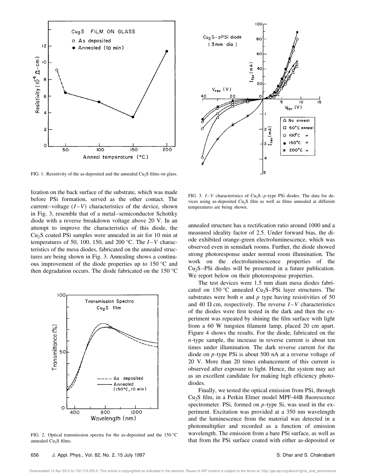

FIG. 1. Resistivity of the as-deposited and the annealed  $Cu<sub>2</sub>S$  films on glass.

lization on the back surface of the substrate, which was made before PSi formation, served as the other contact. The current–voltage  $(I - V)$  characteristics of the device, shown in Fig. 3, resemble that of a metal–semiconductor Schottky diode with a reverse breakdown voltage above 20 V. In an attempt to improve the characteristics of this diode, the  $Cu<sub>2</sub>S$  coated PSi samples were annealed in air for 10 min at temperatures of 50, 100, 150, and 200 °C. The  $I-V$  characteristics of the mesa diodes, fabricated on the annealed structures are being shown in Fig. 3. Annealing shows a continuous improvement of the diode properties up to 150 °C and then degradation occurs. The diode fabricated on the 150 °C



FIG. 2. Optical transmission spectra for the as-deposited and the 150 °C annealed Cu<sub>2</sub>S films.



FIG. 3.  $I-V$  characteristics of Cu<sub>2</sub>S– $p$ -type PSi diodes. The data for devices using as-deposited  $Cu<sub>2</sub>S$  film as well as films annealed at different temperatures are being shown.

annealed structure has a rectification ratio around 1000 and a measured ideality factor of 2.5. Under forward bias, the diode exhibited orange-green electroluminescence, which was observed even in semidark rooms. Further, the diode showed strong photoresponse under normal room illumination. The work on the electroluminescence properties of the  $Cu<sub>2</sub>S-PSi$  diodes will be presented in a future publication. We report below on their photoresponse properties.

The test devices were 1.5 mm diam mesa diodes fabricated on  $150^{\circ}$ C annealed Cu<sub>2</sub>S–PSi layer structures. The substrates were both  $n$  and  $p$  type having resistivities of 50 and 40  $\Omega$  cm, respectively. The reverse  $I - V$  characteristics of the diodes were first tested in the dark and then the experiment was repeated by shining the film surface with light from a 60 W tungsten filament lamp, placed 20 cm apart. Figure 4 shows the results. For the diode, fabricated on the *n*-type sample, the increase in reverse current is about ten times under illumination. The dark reverse current for the diode on *p*-type PSi is about 500 nA at a reverse voltage of 20 V. More than 20 times enhancement of this current is observed after exposure to light. Hence, the system may act as an excellent candidate for making high efficiency photodiodes.

Finally, we tested the optical emission from PSi, through  $Cu<sub>2</sub>S$  film, in a Perkin Elmer model MPF-44B fluorescence spectrometer. PSi, formed on *p*-type Si, was used in the experiment. Excitation was provided at a 350 nm wavelength and the luminescence from the material was detected in a photomultiplier and recorded as a function of emission wavelength. The emission from a bare PSi surface, as well as that from the PSi surface coated with either as-deposited or

Downloaded 14 Apr 2013 to 132.174.255.3. This article is copyrighted as indicated in the abstract. Reuse of AIP content is subject to the terms at: http://jap.aip.org/about/rights\_and\_permissions